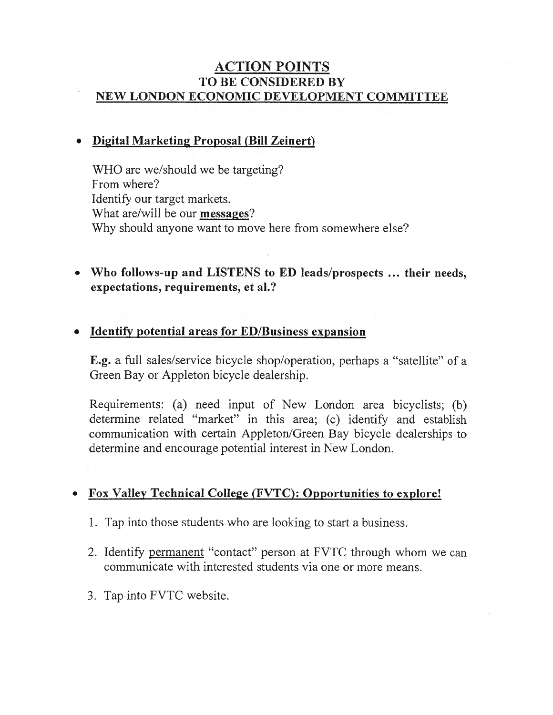# ACTION POINTS TO BE CONSIDERED BY NEW LONDON ECONOMIC DEVELOPMENT COMMITTEE

#### •Digital Marketing Proposal (Bill Zeinert)

WHO are we/should we be targeting? From where? Identify our target markets. What are/will be our **messages**? Why should anyone want to move here from somewhere else?

• Who follows-up and LISTENS to ED leads/prospects ... their needs, expectations, requirements, et al.?

## Identify potential areas for ED/Business expansion

E.g. <sup>a</sup> full sales/service bicycle shop/operation, perhaps <sup>a</sup> "satellite" of <sup>a</sup> Green Bay or Appleton bicycle dealership.

Requirements: (a) need input of New London area bicyclists; (b) determine related "market" in this area; (c) identify and establish communication with certain Appleton/Green Bay bicycle dealerships to determine and encourage potential interest in New London.

## Fox Valley Technical College (FVTC): Opportunities to explore!

- 1. Tap into those students who are looking to start <sup>a</sup> business.
- 2. Identify permanen<sup>t</sup> "contact" person at FVTC through whom we can communicate with interested students via one or more means.
- 3. Tap into FVTC website.